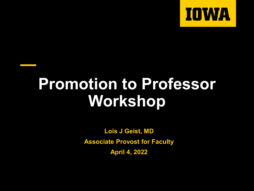

# **Promotion to Professor Workshop**

**Lois J Geist, MD Associate Provost for Faculty April 4, 2022**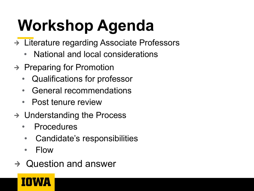# **Workshop Agenda**

- → Literature regarding Associate Professors
	- National and local considerations
- $\rightarrow$  Preparing for Promotion
	- Qualifications for professor
	- General recommendations
	- Post tenure review
- $\rightarrow$  Understanding the Process
	- **Procedures**
	- Candidate's responsibilities
	- Flow
- $\rightarrow$  Question and answer

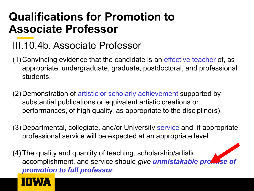#### **Qualifications for Promotion to Associate Professor**

#### III.10.4b. Associate Professor

- (1)Convincing evidence that the candidate is an effective teacher of, as appropriate, undergraduate, graduate, postdoctoral, and professional students.
- (2)Demonstration of artistic or scholarly achievement supported by substantial publications or equivalent artistic creations or performances, of high quality, as appropriate to the discipline(s).
- (3)Departmental, collegiate, and/or University service and, if appropriate, professional service will be expected at an appropriate level.
- (4)The quality and quantity of teaching, scholarship/artistic accomplishment, and service should *give unmistakable promise of promotion to full professor*.

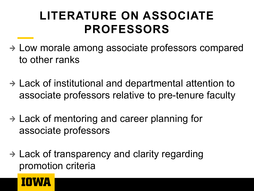#### **LITERATURE ON ASSOCIATE PROFESSORS**

- Low morale among associate professors compared to other ranks
- Lack of institutional and departmental attention to associate professors relative to pre-tenure faculty
- $\rightarrow$  Lack of mentoring and career planning for associate professors
- $\rightarrow$  Lack of transparency and clarity regarding promotion criteria

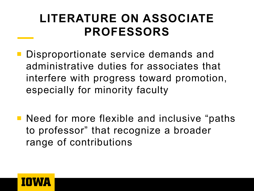#### **LITERATURE ON ASSOCIATE PROFESSORS**

- **Disproportionate service demands and** administrative duties for associates that interfere with progress toward promotion, especially for minority faculty
- Need for more flexible and inclusive "paths" to professor" that recognize a broader range of contributions

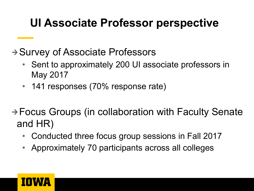#### **UI Associate Professor perspective**

→ Survey of Associate Professors

- Sent to approximately 200 UI associate professors in May 2017
- 141 responses (70% response rate)

#### → Focus Groups (in collaboration with Faculty Senate and HR)

- Conducted three focus group sessions in Fall 2017
- Approximately 70 participants across all colleges

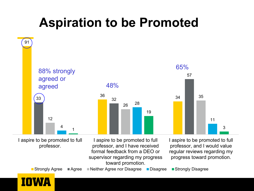### **Aspiration to be Promoted**

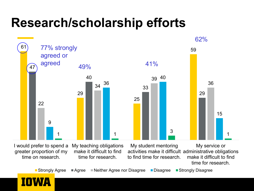#### **Research/scholarship efforts**



I would prefer to spend a greater proportion of my time on research. My teaching obligations make it difficult to find time for research. My student mentoring activities make it difficult administrative obligations to find time for research. My service or make it difficult to find time for research.



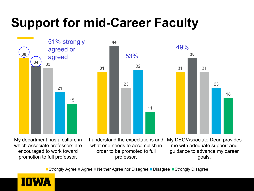## **Support for mid-Career Faculty**



My department has a culture in which associate professors are encouraged to work toward promotion to full professor.

I understand the expectations and what one needs to accomplish in order to be promoted to full professor.

My DEO/Associate Dean provides me with adequate support and guidance to advance my career goals.

■ Strongly Agree ■ Agree ■ Neither Agree nor Disagree ■ Disagree ■ Strongly Disagree

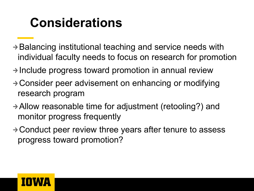### **Considerations**

- $\rightarrow$  Balancing institutional teaching and service needs with individual faculty needs to focus on research for promotion
- $\rightarrow$  Include progress toward promotion in annual review
- → Consider peer advisement on enhancing or modifying research program
- $\rightarrow$  Allow reasonable time for adjustment (retooling?) and monitor progress frequently
- $\rightarrow$  Conduct peer review three years after tenure to assess progress toward promotion?

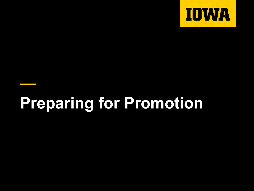

# **Preparing for Promotion**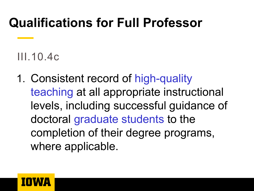#### **Qualifications for Full Professor**

#### III.10.4c

1. Consistent record of high-quality teaching at all appropriate instructional levels, including successful guidance of doctoral graduate students to the completion of their degree programs, where applicable.

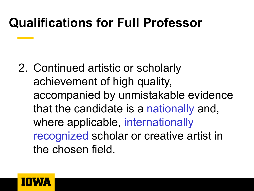#### **Qualifications for Full Professor**

2. Continued artistic or scholarly achievement of high quality, accompanied by unmistakable evidence that the candidate is a nationally and, where applicable, internationally recognized scholar or creative artist in the chosen field.

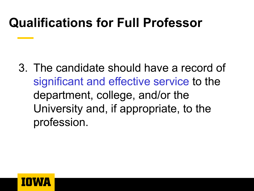#### **Qualifications for Full Professor**

3. The candidate should have a record of significant and effective service to the department, college, and/or the University and, if appropriate, to the profession.

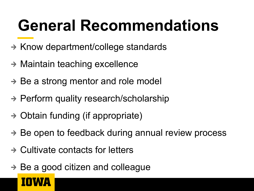# **General Recommendations**

- $\rightarrow$  Know department/college standards
- $\rightarrow$  Maintain teaching excellence
- $\rightarrow$  Be a strong mentor and role model
- $\rightarrow$  Perform quality research/scholarship
- $\rightarrow$  Obtain funding (if appropriate)
- $\rightarrow$  Be open to feedback during annual review process
- $\rightarrow$  Cultivate contacts for letters
- $\rightarrow$  Be a good citizen and colleague

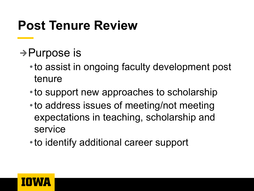### **Post Tenure Review**

- $\rightarrow$  Purpose is
	- •to assist in ongoing faculty development post tenure
	- •to support new approaches to scholarship
	- •to address issues of meeting/not meeting expectations in teaching, scholarship and service
	- •to identify additional career support

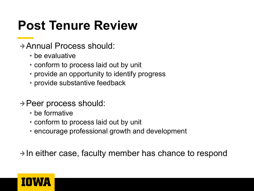### **Post Tenure Review**

- Annual Process should:
	- be evaluative
	- conform to process laid out by unit
	- provide an opportunity to identify progress
	- provide substantive feedback
- $\rightarrow$  Peer process should:
	- be formative
	- conform to process laid out by unit
	- encourage professional growth and development

 $\rightarrow$  In either case, faculty member has chance to respond

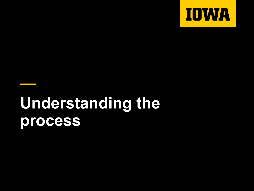

# **Understanding the process**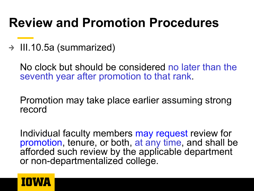#### **Review and Promotion Procedures**

 $\rightarrow$  III.10.5a (summarized)

No clock but should be considered no later than the seventh year after promotion to that rank.

Promotion may take place earlier assuming strong record

Individual faculty members may request review for promotion, tenure, or both, at any time, and shall be afforded such review by the applicable department or non-departmentalized college.

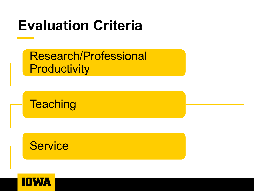# **Evaluation Criteria**

| <b>Research/Professional</b> |
|------------------------------|
| Productivity                 |

**Teaching** 



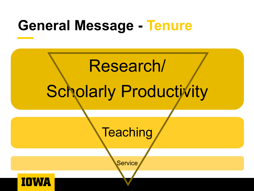## **General Message - Tenure**

# Research/ Scholarly Productivity

**Teaching** 

**Service** 

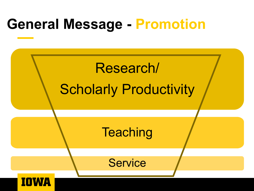# **General Message - Promotion**

# Research/ Scholarly Productivity

**Teaching** 

**Service** 

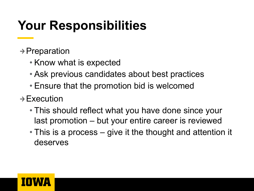## **Your Responsibilities**

- $\rightarrow$  Preparation
	- Know what is expected
	- Ask previous candidates about best practices
	- Ensure that the promotion bid is welcomed
- $\rightarrow$  Execution
	- This should reflect what you have done since your last promotion – but your entire career is reviewed
	- This is a process give it the thought and attention it deserves

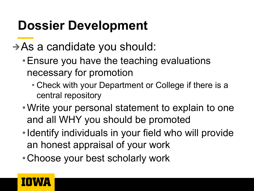### **Dossier Development**

- $\rightarrow$  As a candidate you should:
	- •Ensure you have the teaching evaluations necessary for promotion
		- Check with your Department or College if there is a central repository
	- •Write your personal statement to explain to one and all WHY you should be promoted
	- •Identify individuals in your field who will provide an honest appraisal of your work
	- •Choose your best scholarly work

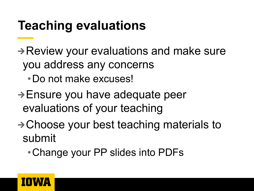### **Teaching evaluations**

 $\rightarrow$  Review your evaluations and make sure you address any concerns

•Do not make excuses!

- $\rightarrow$  Ensure you have adequate peer evaluations of your teaching
- $\rightarrow$  Choose your best teaching materials to submit

•Change your PP slides into PDFs

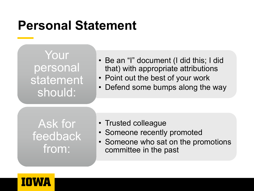#### **Personal Statement**

Your personal statement should:

- Be an "I" document (I did this; I did that) with appropriate attributions
- Point out the best of your work
- Defend some bumps along the way

Ask for feedback from:

- Trusted colleague
- Someone recently promoted
- Someone who sat on the promotions committee in the past

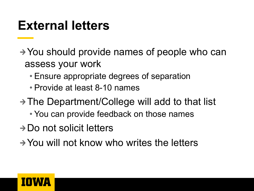#### **External letters**

- $\rightarrow$  You should provide names of people who can assess your work
	- Ensure appropriate degrees of separation
	- Provide at least 8-10 names
- → The Department/College will add to that list
	- You can provide feedback on those names
- $\rightarrow$  Do not solicit letters
- $\rightarrow$  You will not know who writes the letters

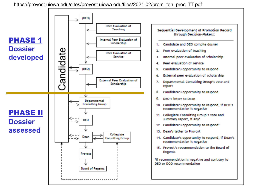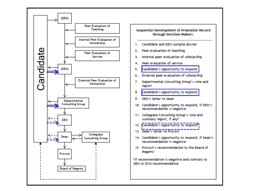

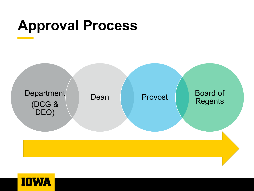## **Approval Process**



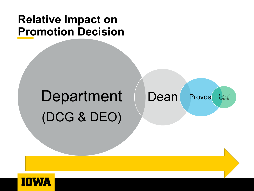#### **Relative Impact on Promotion Decision**

# Department (DCG & DEO)

Dean Provost Board of<br>Regents

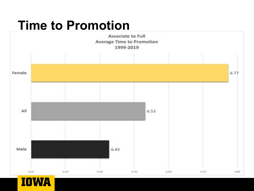#### **Time to Promotion**

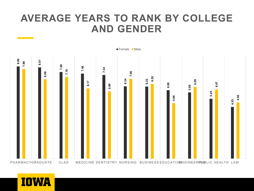#### **AVERAGE YEARS TO RANK BY COLLEGE AND GENDER**



PHARMACYGRADUATE CLAS MEDICINE DENTISTRY NURSING BUSINESS EDUCATIO ENGINEERINUSLIC HEALTH LAW

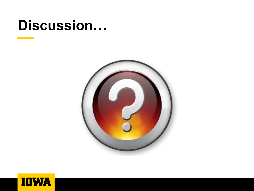#### **Discussion…**